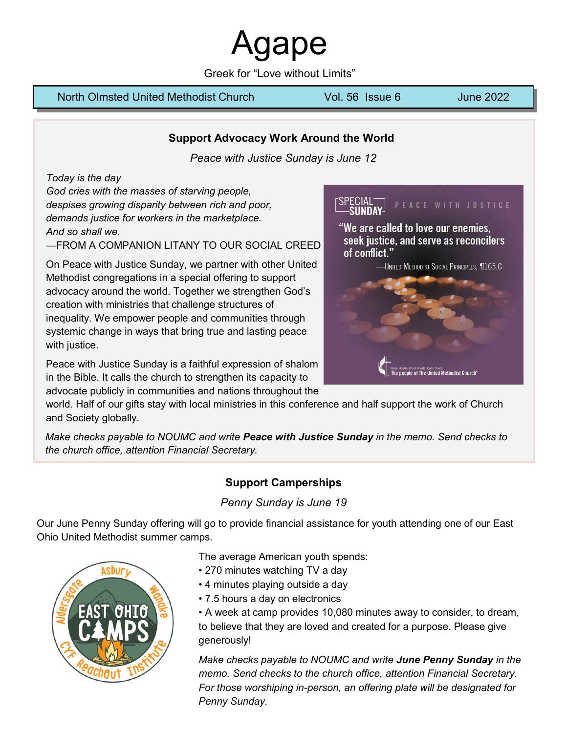aape

Greek for "Love without Limits"

#### North Olmsted United Methodist Church Vol. 56 Issue 6 June 2022

## **Support Advocacy Work Around the World**

*Peace with Justice Sunday is June 12*

*Today is the day*

*God cries with the masses of starving people, despises growing disparity between rich and poor, demands justice for workers in the marketplace. And so shall we.*

—FROM A COMPANION LITANY TO OUR SOCIAL CREED

On Peace with Justice Sunday, we partner with other United Methodist congregations in a special offering to support advocacy around the world. Together we strengthen God's creation with ministries that challenge structures of inequality. We empower people and communities through systemic change in ways that bring true and lasting peace with justice.

Peace with Justice Sunday is a faithful expression of shalom in the Bible. It calls the church to strengthen its capacity to advocate publicly in communities and nations throughout the PEACE WITH JUSTICE

"We are called to love our enemies, seek justice, and serve as reconcilers of conflict."



world. Half of our gifts stay with local ministries in this conference and half support the work of Church and Society globally.

*Make checks payable to NOUMC and write Peace with Justice Sunday in the memo. Send checks to the church office, attention Financial Secretary.*

## **Support Camperships**

*Penny Sunday is June 19*

Our June Penny Sunday offering will go to provide financial assistance for youth attending one of our East Ohio United Methodist summer camps.



The average American youth spends:

- 270 minutes watching TV a day
- 4 minutes playing outside a day
- 7.5 hours a day on electronics

• A week at camp provides 10,080 minutes away to consider, to dream, to believe that they are loved and created for a purpose. Please give generously!

*Make checks payable to NOUMC and write June Penny Sunday in the memo. Send checks to the church office, attention Financial Secretary. For those worshiping in-person, an offering plate will be designated for Penny Sunday.*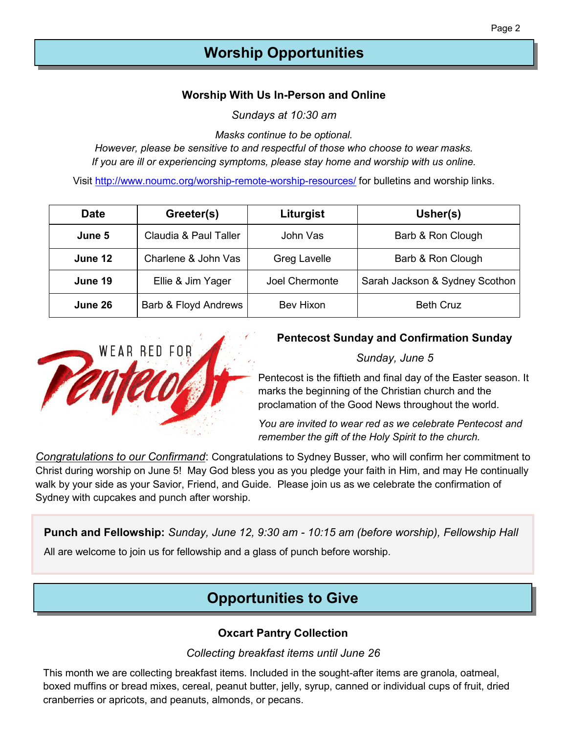## **Worship Opportunities**

## **Worship With Us In-Person and Online**

*Sundays at 10:30 am*

*Masks continue to be optional.* 

*However, please be sensitive to and respectful of those who choose to wear masks. If you are ill or experiencing symptoms, please stay home and worship with us online.* 

Visit [http://www.noumc.org/worship](http://www.noumc.org/worship-remote-worship-resources/)-remote-worship-resources/ for bulletins and worship links.

| <b>Date</b> | Greeter(s)                          |                               | Usher(s)                       |  |
|-------------|-------------------------------------|-------------------------------|--------------------------------|--|
| June 5      | Claudia & Paul Taller               | Barb & Ron Clough<br>John Vas |                                |  |
| June 12     | Charlene & John Vas                 | <b>Greg Lavelle</b>           | Barb & Ron Clough              |  |
| June 19     | Ellie & Jim Yager<br>Joel Chermonte |                               | Sarah Jackson & Sydney Scothon |  |
| June 26     | Barb & Floyd Andrews                | Bev Hixon                     | <b>Beth Cruz</b>               |  |



## **Pentecost Sunday and Confirmation Sunday**

*Sunday, June 5*

Pentecost is the fiftieth and final day of the Easter season. It marks the beginning of the Christian church and the proclamation of the Good News throughout the world.

*You are invited to wear red as we celebrate Pentecost and remember the gift of the Holy Spirit to the church.*

*Congratulations to our Confirmand*: Congratulations to Sydney Busser, who will confirm her commitment to Christ during worship on June 5! May God bless you as you pledge your faith in Him, and may He continually walk by your side as your Savior, Friend, and Guide. Please join us as we celebrate the confirmation of Sydney with cupcakes and punch after worship.

**Punch and Fellowship:** *Sunday, June 12, 9:30 am - 10:15 am (before worship), Fellowship Hall*

All are welcome to join us for fellowship and a glass of punch before worship.

## **Opportunities to Give**

## **Oxcart Pantry Collection**

### *Collecting breakfast items until June 26*

This month we are collecting breakfast items. Included in the sought-after items are granola, oatmeal, boxed muffins or bread mixes, cereal, peanut butter, jelly, syrup, canned or individual cups of fruit, dried cranberries or apricots, and peanuts, almonds, or pecans.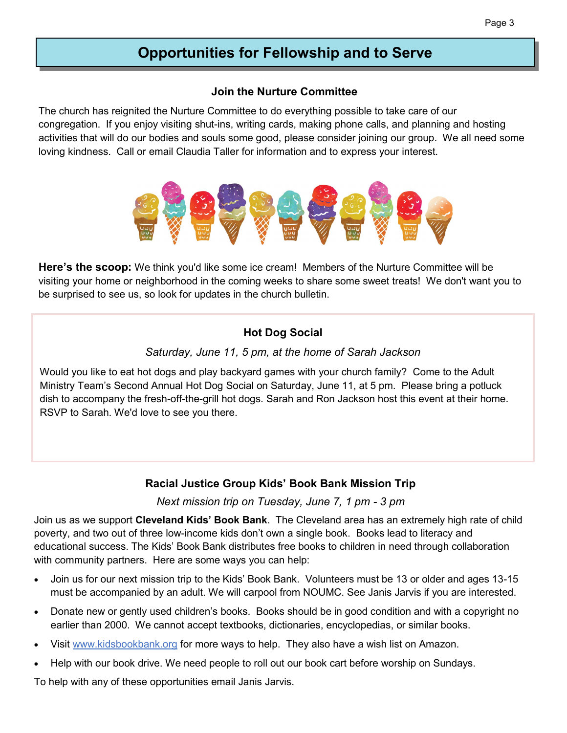## **Opportunities for Fellowship and to Serve**

### **Join the Nurture Committee**

The church has reignited the Nurture Committee to do everything possible to take care of our congregation. If you enjoy visiting shut-ins, writing cards, making phone calls, and planning and hosting activities that will do our bodies and souls some good, please consider joining our group. We all need some loving kindness. Call or email Claudia Taller for information and to express your interest.



**Here's the scoop:** We think you'd like some ice cream! Members of the Nurture Committee will be visiting your home or neighborhood in the coming weeks to share some sweet treats! We don't want you to be surprised to see us, so look for updates in the church bulletin.

## **Hot Dog Social**

## *Saturday, June 11, 5 pm, at the home of Sarah Jackson*

Would you like to eat hot dogs and play backyard games with your church family? Come to the Adult Ministry Team's Second Annual Hot Dog Social on Saturday, June 11, at 5 pm. Please bring a potluck dish to accompany the fresh-off-the-grill hot dogs. Sarah and Ron Jackson host this event at their home. RSVP to Sarah. We'd love to see you there.

## **Racial Justice Group Kids' Book Bank Mission Trip**

*Next mission trip on Tuesday, June 7, 1 pm - 3 pm*

Join us as we support **Cleveland Kids' Book Bank**. The Cleveland area has an extremely high rate of child poverty, and two out of three low-income kids don't own a single book. Books lead to literacy and educational success. The Kids' Book Bank distributes free books to children in need through collaboration with community partners. Here are some ways you can help:

- Join us for our next mission trip to the Kids' Book Bank. Volunteers must be 13 or older and ages 13-15 must be accompanied by an adult. We will carpool from NOUMC. See Janis Jarvis if you are interested.
- Donate new or gently used children's books. Books should be in good condition and with a copyright no earlier than 2000. We cannot accept textbooks, dictionaries, encyclopedias, or similar books.
- Visit www.kidsbookbank.org for more ways to help. They also have a wish list on Amazon.
- Help with our book drive. We need people to roll out our book cart before worship on Sundays.

To help with any of these opportunities email Janis Jarvis.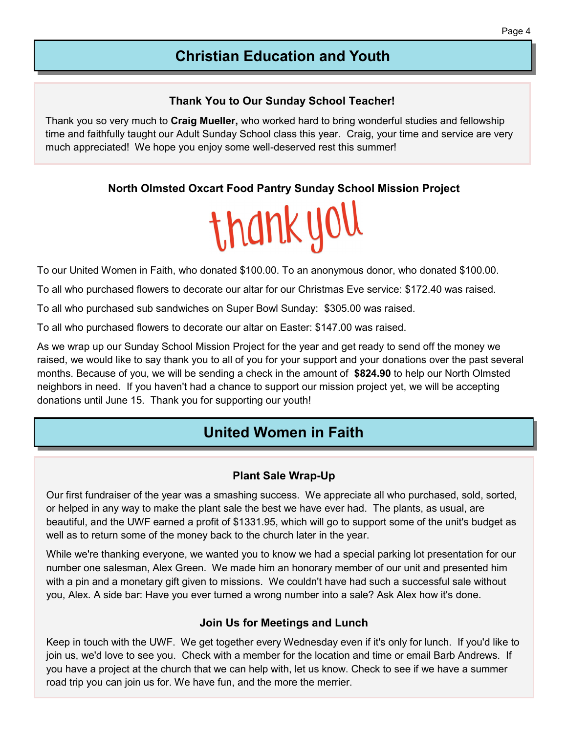## **Christian Education and Youth**

## **Thank You to Our Sunday School Teacher!**

Thank you so very much to **Craig Mueller,** who worked hard to bring wonderful studies and fellowship time and faithfully taught our Adult Sunday School class this year. Craig, your time and service are very much appreciated! We hope you enjoy some well-deserved rest this summer!

## **North Olmsted Oxcart Food Pantry Sunday School Mission Project**

# thank you

To our United Women in Faith, who donated \$100.00. To an anonymous donor, who donated \$100.00.

To all who purchased flowers to decorate our altar for our Christmas Eve service: \$172.40 was raised.

To all who purchased sub sandwiches on Super Bowl Sunday: \$305.00 was raised.

To all who purchased flowers to decorate our altar on Easter: \$147.00 was raised.

As we wrap up our Sunday School Mission Project for the year and get ready to send off the money we raised, we would like to say thank you to all of you for your support and your donations over the past several months. Because of you, we will be sending a check in the amount of **\$824.90** to help our North Olmsted neighbors in need. If you haven't had a chance to support our mission project yet, we will be accepting donations until June 15. Thank you for supporting our youth!

## **United Women in Faith**

## **Plant Sale Wrap-Up**

Our first fundraiser of the year was a smashing success. We appreciate all who purchased, sold, sorted, or helped in any way to make the plant sale the best we have ever had. The plants, as usual, are beautiful, and the UWF earned a profit of \$1331.95, which will go to support some of the unit's budget as well as to return some of the money back to the church later in the year.

While we're thanking everyone, we wanted you to know we had a special parking lot presentation for our number one salesman, Alex Green. We made him an honorary member of our unit and presented him with a pin and a monetary gift given to missions. We couldn't have had such a successful sale without you, Alex. A side bar: Have you ever turned a wrong number into a sale? Ask Alex how it's done.

## **Join Us for Meetings and Lunch**

Keep in touch with the UWF. We get together every Wednesday even if it's only for lunch. If you'd like to join us, we'd love to see you. Check with a member for the location and time or email Barb Andrews. If you have a project at the church that we can help with, let us know. Check to see if we have a summer road trip you can join us for. We have fun, and the more the merrier.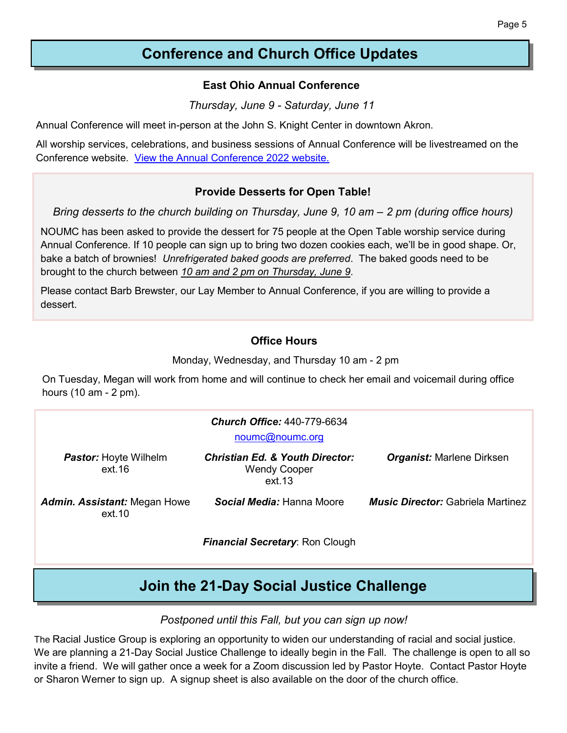## **Conference and Church Office Updates**

#### **East Ohio Annual Conference**

*Thursday, June 9 - Saturday, June 11*

Annual Conference will meet in-person at the John S. Knight Center in downtown Akron.

All worship services, celebrations, and business sessions of Annual Conference will be livestreamed on the Conference website. [View the Annual Conference 2022 website.](https://www.eocumc.com/eoac22/index.html)

#### **Provide Desserts for Open Table!**

*Bring desserts to the church building on Thursday, June 9, 10 am – 2 pm (during office hours)*

NOUMC has been asked to provide the dessert for 75 people at the Open Table worship service during Annual Conference. If 10 people can sign up to bring two dozen cookies each, we'll be in good shape. Or, bake a batch of brownies! *Unrefrigerated baked goods are preferred*. The baked goods need to be brought to the church between *10 am and 2 pm on Thursday, June 9*.

Please contact Barb Brewster, our Lay Member to Annual Conference, if you are willing to provide a dessert.

### **Office Hours**

Monday, Wednesday, and Thursday 10 am - 2 pm

On Tuesday, Megan will work from home and will continue to check her email and voicemail during office hours (10 am - 2 pm).

| <b>Church Office: 440-779-6634</b><br>noumc@noumc.org |                                                                             |                                          |  |  |
|-------------------------------------------------------|-----------------------------------------------------------------------------|------------------------------------------|--|--|
| <b>Pastor:</b> Hoyte Wilhelm<br>ext 16                | <b>Christian Ed. &amp; Youth Director:</b><br><b>Wendy Cooper</b><br>ext.13 | <b>Organist:</b> Marlene Dirksen         |  |  |
| <b>Admin. Assistant: Megan Howe</b><br>ext.10         | Social Media: Hanna Moore                                                   | <b>Music Director:</b> Gabriela Martinez |  |  |
|                                                       | <b>Financial Secretary: Ron Clough</b>                                      |                                          |  |  |

## **Join the 21-Day Social Justice Challenge**

#### *Postponed until this Fall, but you can sign up now!*

The Racial Justice Group is exploring an opportunity to widen our understanding of racial and social justice. We are planning a 21-Day Social Justice Challenge to ideally begin in the Fall. The challenge is open to all so invite a friend. We will gather once a week for a Zoom discussion led by Pastor Hoyte. Contact Pastor Hoyte or Sharon Werner to sign up. A signup sheet is also available on the door of the church office.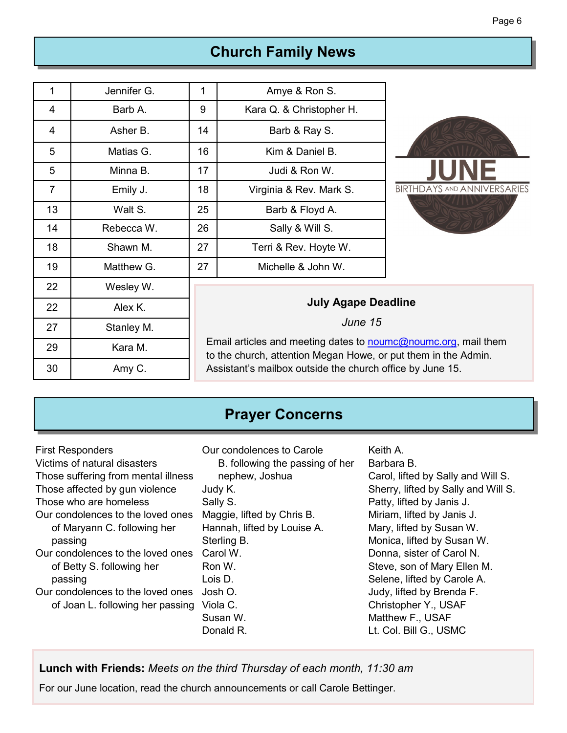# **Church Family News**

| 1              | Jennifer G. | 1<br>Amye & Ron S.                                                                                                                       |                          |                                    |  |
|----------------|-------------|------------------------------------------------------------------------------------------------------------------------------------------|--------------------------|------------------------------------|--|
| 4              | Barb A.     | 9                                                                                                                                        | Kara Q. & Christopher H. |                                    |  |
| 4              | Asher B.    | 14                                                                                                                                       | Barb & Ray S.            |                                    |  |
| 5              | Matias G.   | 16                                                                                                                                       | Kim & Daniel B.          |                                    |  |
| 5              | Minna B.    | 17                                                                                                                                       | Judi & Ron W.            |                                    |  |
| $\overline{7}$ | Emily J.    | 18                                                                                                                                       | Virginia & Rev. Mark S.  | <b>BIRTHDAYS AND ANNIVERSARIES</b> |  |
| 13             | Walt S.     | 25                                                                                                                                       | Barb & Floyd A.          |                                    |  |
| 14             | Rebecca W.  | 26                                                                                                                                       | Sally & Will S.          |                                    |  |
| 18             | Shawn M.    | 27                                                                                                                                       | Terri & Rev. Hoyte W.    |                                    |  |
| 19             | Matthew G.  | 27                                                                                                                                       | Michelle & John W.       |                                    |  |
| 22             | Wesley W.   |                                                                                                                                          |                          |                                    |  |
| 22             | Alex K.     | <b>July Agape Deadline</b>                                                                                                               |                          |                                    |  |
| 27             | Stanley M.  | June 15                                                                                                                                  |                          |                                    |  |
| 29             | Kara M.     | Email articles and meeting dates to <b>noumc@noumc.org</b> , mail them<br>to the church, attention Megan Howe, or put them in the Admin. |                          |                                    |  |
| 30             | Amy C.      | Assistant's mailbox outside the church office by June 15.                                                                                |                          |                                    |  |

## **Prayer Concerns**

| <b>First Responders</b>                                               | Our condolences to Carole                    | Keith A.                                                                                        |
|-----------------------------------------------------------------------|----------------------------------------------|-------------------------------------------------------------------------------------------------|
| Victims of natural disasters                                          | B. following the passing of her              | Barbara B.                                                                                      |
| Those suffering from mental illness                                   | nephew, Joshua                               | Carol, lifted by Sally and Will S.                                                              |
| Those affected by gun violence                                        | Judy K.                                      | Sherry, lifted by Sally and Will S.                                                             |
| Those who are homeless                                                | Sally S.                                     | Patty, lifted by Janis J.                                                                       |
| Our condolences to the loved ones                                     | Maggie, lifted by Chris B.                   | Miriam, lifted by Janis J.                                                                      |
| of Maryann C. following her                                           | Hannah, lifted by Louise A.                  | Mary, lifted by Susan W.                                                                        |
| passing                                                               | Sterling B.                                  | Monica, lifted by Susan W.                                                                      |
| Our condolences to the loved ones                                     | Carol W.                                     | Donna, sister of Carol N.                                                                       |
| of Betty S. following her                                             | Ron W.                                       | Steve, son of Mary Ellen M.                                                                     |
| passing                                                               | Lois D.                                      | Selene, lifted by Carole A.                                                                     |
| Our condolences to the loved ones<br>of Joan L. following her passing | Josh O.<br>Viola C.<br>Susan W.<br>Donald R. | Judy, lifted by Brenda F.<br>Christopher Y., USAF<br>Matthew F., USAF<br>Lt. Col. Bill G., USMC |

**Lunch with Friends:** *Meets on the third Thursday of each month, 11:30 am*

For our June location, read the church announcements or call Carole Bettinger.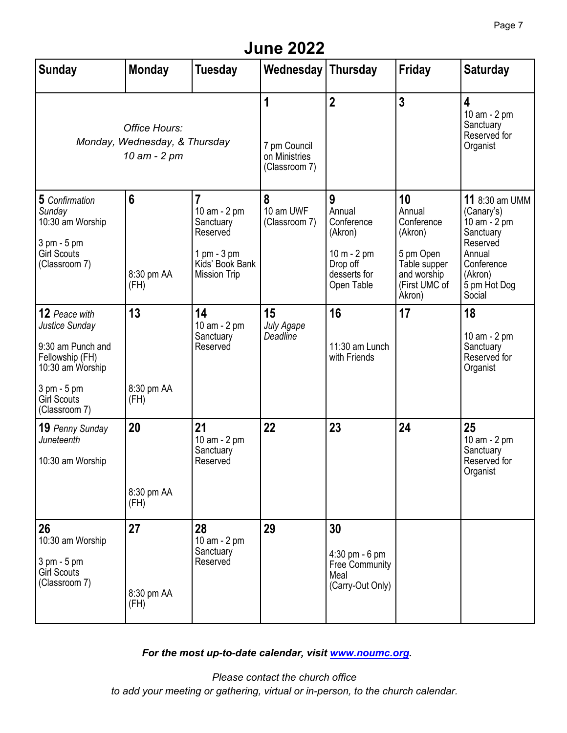## **June 2022**

| <b>Sunday</b>                                                                                                                                     | <b>Monday</b>                         | <b>Tuesday</b>                                                                                                   | <b>Wednesday Thursday</b>                           |                                                                                                 | <b>Friday</b>                                                                                                | <b>Saturday</b>                                                                                                                              |
|---------------------------------------------------------------------------------------------------------------------------------------------------|---------------------------------------|------------------------------------------------------------------------------------------------------------------|-----------------------------------------------------|-------------------------------------------------------------------------------------------------|--------------------------------------------------------------------------------------------------------------|----------------------------------------------------------------------------------------------------------------------------------------------|
| Office Hours:<br>Monday, Wednesday, & Thursday<br>10 am - 2 pm                                                                                    |                                       |                                                                                                                  | 1<br>7 pm Council<br>on Ministries<br>(Classroom 7) | $\overline{2}$                                                                                  | $\overline{3}$                                                                                               | $\overline{\mathbf{4}}$<br>10 am - 2 pm<br>Sanctuary<br>Reserved for<br>Organist                                                             |
| 5 Confirmation<br>Sunday<br>10:30 am Worship<br>3 pm - 5 pm<br><b>Girl Scouts</b><br>(Classroom 7)                                                | $6\phantom{1}6$<br>8:30 pm AA<br>(FH) | $\overline{7}$<br>10 am - 2 pm<br>Sanctuary<br>Reserved<br>1 pm - 3 pm<br>Kids' Book Bank<br><b>Mission Trip</b> | 8<br>10 am UWF<br>(Classroom 7)                     | 9<br>Annual<br>Conference<br>(Akron)<br>$10 m - 2 pm$<br>Drop off<br>desserts for<br>Open Table | 10<br>Annual<br>Conference<br>(Akron)<br>5 pm Open<br>Table supper<br>and worship<br>(First UMC of<br>Akron) | <b>11</b> 8:30 am UMM<br>(Canary's)<br>$10$ am $-2$ pm<br>Sanctuary<br>Reserved<br>Annual<br>Conference<br>(Akron)<br>5 pm Hot Dog<br>Social |
| 12 Peace with<br>Justice Sunday<br>9:30 am Punch and<br>Fellowship (FH)<br>10:30 am Worship<br>3 pm - 5 pm<br><b>Girl Scouts</b><br>(Classroom 7) | 13<br>8:30 pm AA<br>(FH)              | 14<br>10 am - 2 pm<br>Sanctuary<br>Reserved                                                                      | 15<br>July Agape<br>Deadline                        | 16<br>11:30 am Lunch<br>with Friends                                                            | 17                                                                                                           | 18<br>10 am - 2 pm<br>Sanctuary<br>Reserved for<br>Organist                                                                                  |
| 19 Penny Sunday<br>Juneteenth<br>10:30 am Worship                                                                                                 | 20<br>8:30 pm AA<br>(FH)              | 21<br>10 am - 2 pm<br>Sanctuary<br>Reserved                                                                      | 22                                                  | 23                                                                                              | 24                                                                                                           | 25<br>10 am - 2 pm<br>Sanctuary<br>Reserved for<br>Organist                                                                                  |
| 26<br>10:30 am Worship<br>3 pm - 5 pm<br><b>Girl Scouts</b><br>(Classroom 7)                                                                      | 27<br>8:30 pm AA<br>(FH)              | 28<br>10 am - 2 pm<br>Sanctuary<br>Reserved                                                                      | 29                                                  | 30<br>$4:30$ pm - 6 pm<br>Free Community<br>Meal<br>(Carry-Out Only)                            |                                                                                                              |                                                                                                                                              |

*For the most up-to-date calendar, visit [www.noumc.org.](http://www.noumc.org)*

*Please contact the church office to add your meeting or gathering, virtual or in-person, to the church calendar.*